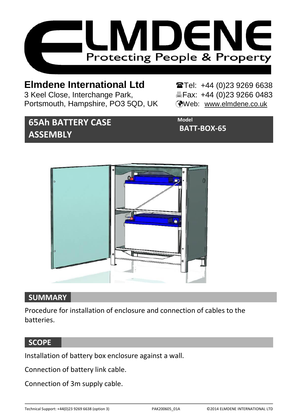

## **Elmdene International Ltd** Tel: +44 (0)23 9269 6638

3 Keel Close, Interchange Park, Eleax: +44 (0)23 9266 0483 Portsmouth, Hampshire, PO3 5QD, UK (Web: [www.elmdene.co.uk](http://www.elmdene.co.uk/)

# **65Ah BATTERY CASE ASSEMBLY**

**Model BATT-BOX-65**



### **SUMMARY**

Procedure for installation of enclosure and connection of cables to the batteries.

### **SCOPE**

Installation of battery box enclosure against a wall.

Connection of battery link cable.

Connection of 3m supply cable.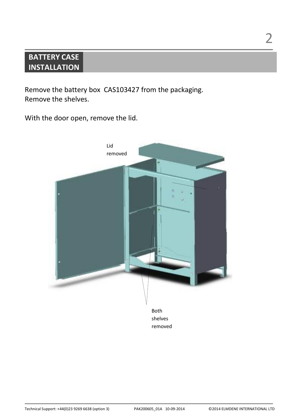## **BATTERY CASE INSTALLATION**

Remove the battery box CAS103427 from the packaging. Remove the shelves.

With the door open, remove the lid.

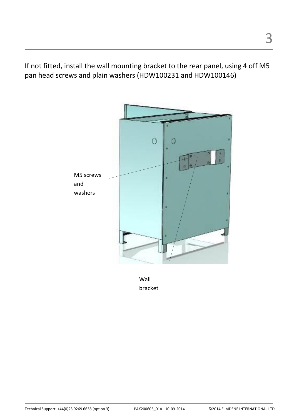If not fitted, install the wall mounting bracket to the rear panel, using 4 off M5 pan head screws and plain washers (HDW100231 and HDW100146)



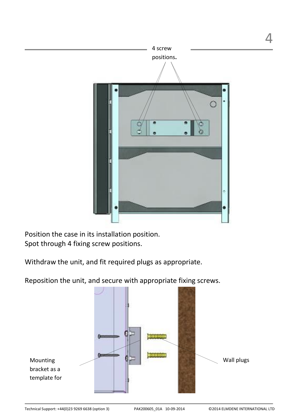

Position the case in its installation position. Spot through 4 fixing screw positions.

Withdraw the unit, and fit required plugs as appropriate.

Reposition the unit, and secure with appropriate fixing screws.



4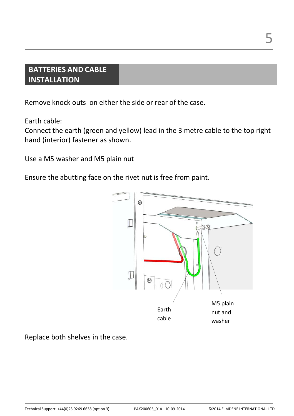## **BATTERIES AND CABLE INSTALLATION**

Remove knock outs on either the side or rear of the case.

Earth cable:

Connect the earth (green and yellow) lead in the 3 metre cable to the top right hand (interior) fastener as shown.

Use a M5 washer and M5 plain nut

Ensure the abutting face on the rivet nut is free from paint.



Replace both shelves in the case.

5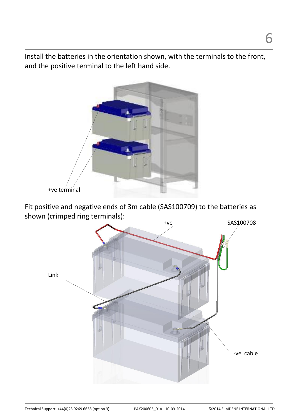Install the batteries in the orientation shown, with the terminals to the front, and the positive terminal to the left hand side.



Fit positive and negative ends of 3m cable (SAS100709) to the batteries as shown (crimped ring terminals):